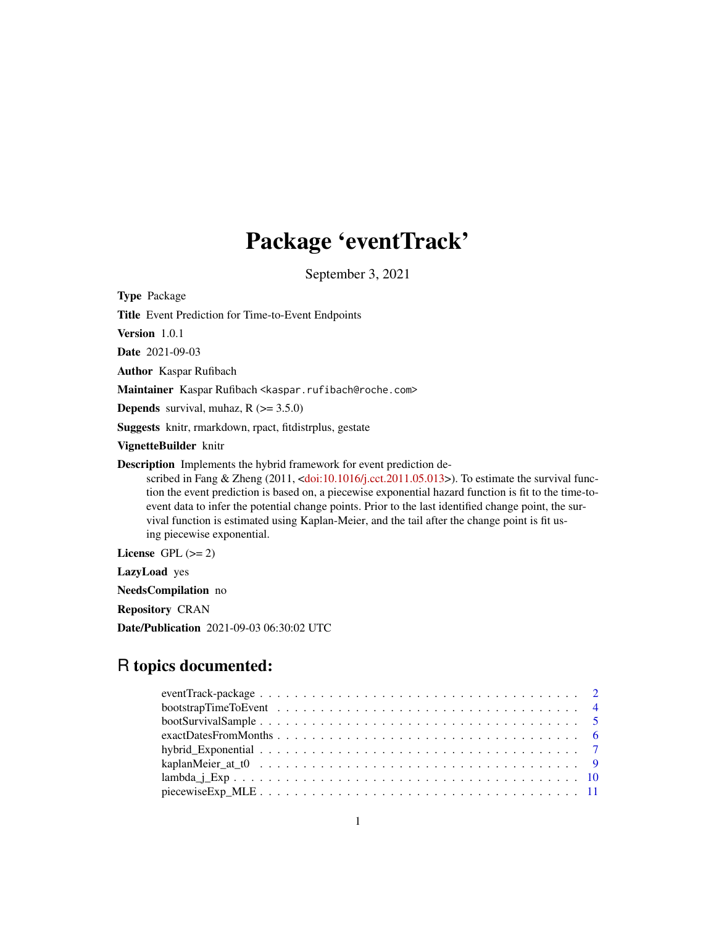# Package 'eventTrack'

September 3, 2021

<span id="page-0-0"></span>

| <b>Type Package</b>                                                                                                                                                                                                                                                                                                                                                                                                                                                                     |
|-----------------------------------------------------------------------------------------------------------------------------------------------------------------------------------------------------------------------------------------------------------------------------------------------------------------------------------------------------------------------------------------------------------------------------------------------------------------------------------------|
| <b>Title</b> Event Prediction for Time-to-Event Endpoints                                                                                                                                                                                                                                                                                                                                                                                                                               |
| <b>Version</b> 1.0.1                                                                                                                                                                                                                                                                                                                                                                                                                                                                    |
| <b>Date</b> 2021-09-03                                                                                                                                                                                                                                                                                                                                                                                                                                                                  |
| <b>Author Kaspar Rufibach</b>                                                                                                                                                                                                                                                                                                                                                                                                                                                           |
| Maintainer Kaspar Rufibach < kaspar.rufibach@roche.com>                                                                                                                                                                                                                                                                                                                                                                                                                                 |
| <b>Depends</b> survival, muhaz, $R$ ( $> = 3.5.0$ )                                                                                                                                                                                                                                                                                                                                                                                                                                     |
| Suggests knitr, rmarkdown, rpact, fitdistrplus, gestate                                                                                                                                                                                                                                                                                                                                                                                                                                 |
| VignetteBuilder knitr                                                                                                                                                                                                                                                                                                                                                                                                                                                                   |
| <b>Description</b> Implements the hybrid framework for event prediction de-<br>scribed in Fang & Zheng $(2011, \text{. To estimate the survival func-tion the event prediction is based on, a piecewise exponential hazard function is fit to the time-to-event data to infer the potential change points. Prior to the last identified change point, the sur-vival function is estimated using Kaplan-Meier, and the tail after the change point is fit us-ing piecewise exponential.$ |
| License $GPL (= 2)$                                                                                                                                                                                                                                                                                                                                                                                                                                                                     |
| <b>LazyLoad</b> yes                                                                                                                                                                                                                                                                                                                                                                                                                                                                     |
| <b>NeedsCompilation</b> no                                                                                                                                                                                                                                                                                                                                                                                                                                                              |
| <b>Repository CRAN</b>                                                                                                                                                                                                                                                                                                                                                                                                                                                                  |

Date/Publication 2021-09-03 06:30:02 UTC

# R topics documented: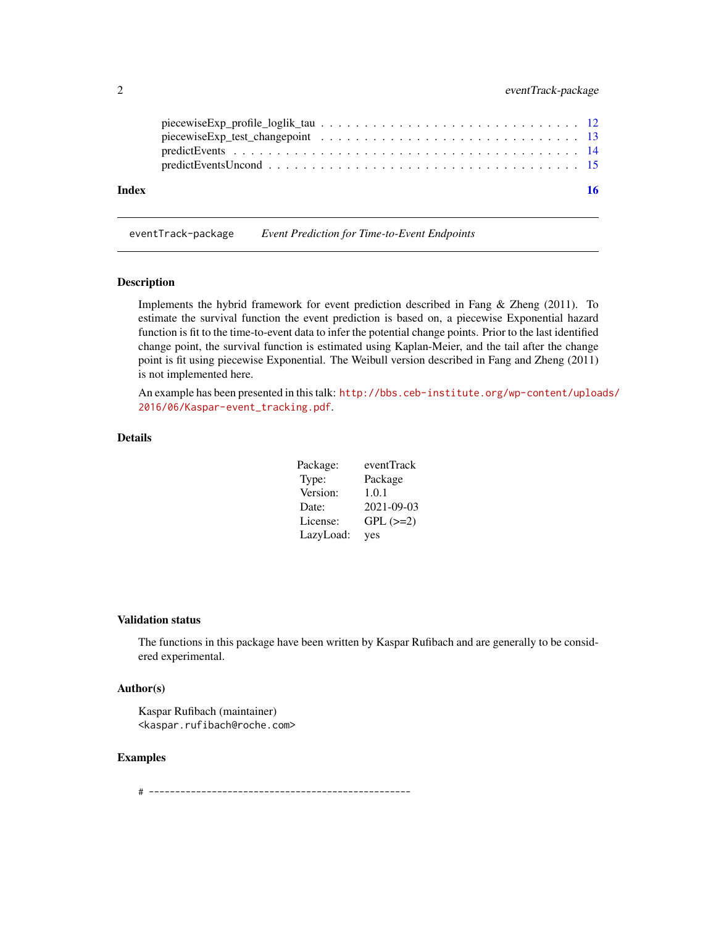<span id="page-1-0"></span>

eventTrack-package *Event Prediction for Time-to-Event Endpoints*

# Description

Implements the hybrid framework for event prediction described in Fang & Zheng (2011). To estimate the survival function the event prediction is based on, a piecewise Exponential hazard function is fit to the time-to-event data to infer the potential change points. Prior to the last identified change point, the survival function is estimated using Kaplan-Meier, and the tail after the change point is fit using piecewise Exponential. The Weibull version described in Fang and Zheng (2011) is not implemented here.

An example has been presented in this talk: [http://bbs.ceb-institute.org/wp-content/uploa](http://bbs.ceb-institute.org/wp-content/uploads/2016/06/Kaspar-event_tracking.pdf)ds/ [2016/06/Kaspar-event\\_tracking.pdf](http://bbs.ceb-institute.org/wp-content/uploads/2016/06/Kaspar-event_tracking.pdf).

#### Details

| Package:  | eventTrack    |
|-----------|---------------|
| Type:     | Package       |
| Version:  | 1.0.1         |
| Date:     | 2021-09-03    |
| License:  | $GPL$ $(>=2)$ |
| LazyLoad: | yes           |

#### Validation status

The functions in this package have been written by Kaspar Rufibach and are generally to be considered experimental.

# Author(s)

Kaspar Rufibach (maintainer) <kaspar.rufibach@roche.com>

#### Examples

# --------------------------------------------------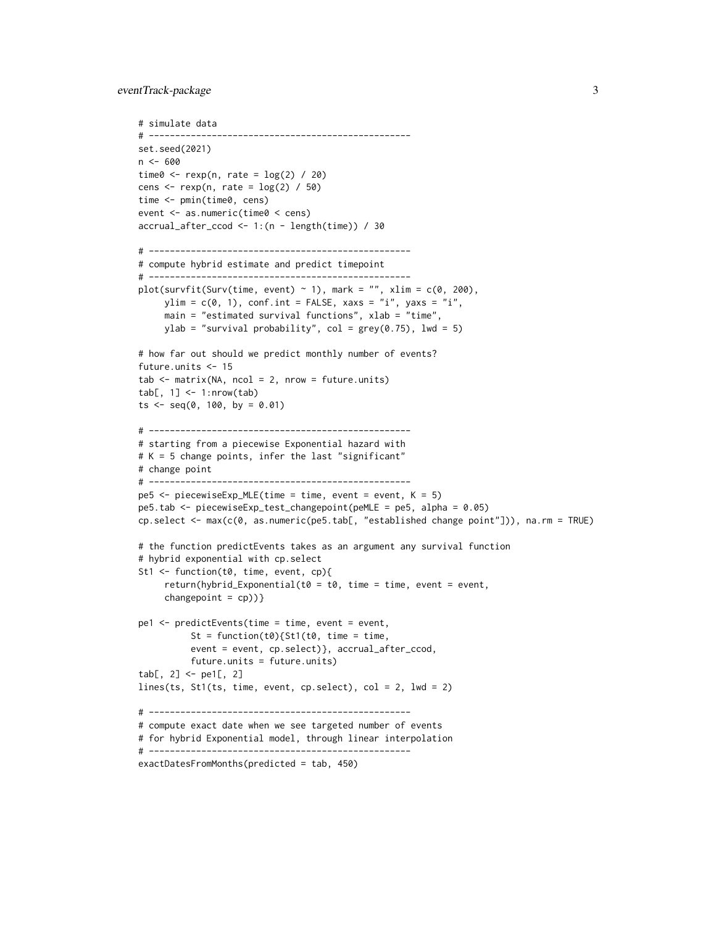```
# simulate data
# --------------------------------------------------
set.seed(2021)
n < -600time0 \leq -\text{resp}(n, \text{ rate} = \log(2) / 20)cens \leq rexp(n, rate = \log(2) / 50)
time <- pmin(time0, cens)
event <- as.numeric(time0 < cens)
accrual_after_ccod <- 1:(n - length(time)) / 30
# --------------------------------------------------
# compute hybrid estimate and predict timepoint
# --------------------------------------------------
plot(survfit(Surv(time, event) ~ 1), mark = "", xlim = c(\theta, 200),
     ylim = c(0, 1), conf.int = FALSE, xaxs = "i", yaxs = "i",
     main = "estimated survival functions", xlab = "time",
     ylab = "survival probability", col = grey(0.75), lwd = 5)
# how far out should we predict monthly number of events?
future.units <- 15
tab < - matrix(NA, ncol = 2, nrow = future.units)
tab[, 1] < -1: nrow(tab)ts \leq seq(0, 100, by = 0.01)
# --------------------------------------------------
# starting from a piecewise Exponential hazard with
# K = 5 change points, infer the last "significant"
# change point
# --------------------------------------------------
pe5 <- piecewiseExp_MLE(time = time, event = event, K = 5)
pe5.tab <- piecewiseExp_test_changepoint(peMLE = pe5, alpha = 0.05)
cp.select <- max(c(0, as.numeric(pe5.tab[, "established change point"])), na.rm = TRUE)
# the function predictEvents takes as an argument any survival function
# hybrid exponential with cp.select
St1 <- function(t0, time, event, cp){
     return(hybrid_Exponential(t0 = t0, time = time, event = event,
     changepoint = cp))}
pe1 <- predictEvents(time = time, event = event,
          St = function(t0){St1(t0, time = time,
          event = event, cp.select)}, accrual_after_ccod,
          future.units = future.units)
tab[, 2] <- pe1[, 2]
lines(ts, St1(ts, time, event, cp.select), col = 2, lwd = 2)
# --------------------------------------------------
# compute exact date when we see targeted number of events
# for hybrid Exponential model, through linear interpolation
# --------------------------------------------------
exactDatesFromMonths(predicted = tab, 450)
```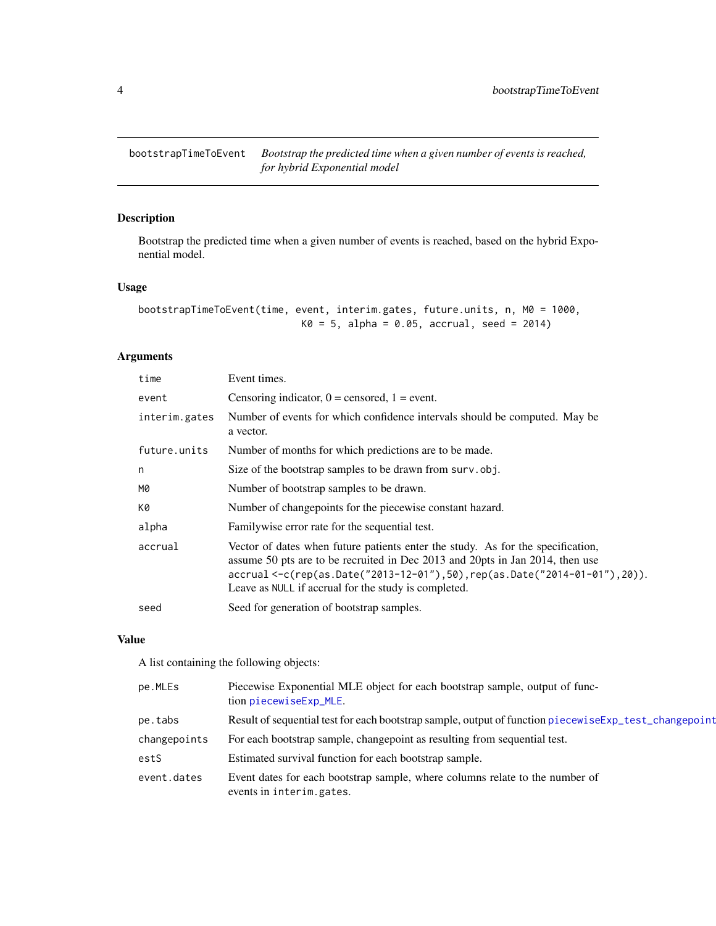<span id="page-3-0"></span>bootstrapTimeToEvent *Bootstrap the predicted time when a given number of events is reached, for hybrid Exponential model*

# Description

Bootstrap the predicted time when a given number of events is reached, based on the hybrid Exponential model.

# Usage

```
bootstrapTimeToEvent(time, event, interim.gates, future.units, n, M0 = 1000,
                            K0 = 5, alpha = 0.05, accrual, seed = 2014)
```
# Arguments

| time          | Event times.                                                                                                                                                                                                                                                                                          |
|---------------|-------------------------------------------------------------------------------------------------------------------------------------------------------------------------------------------------------------------------------------------------------------------------------------------------------|
| event         | Censoring indicator, $0 =$ censored, $1 =$ event.                                                                                                                                                                                                                                                     |
| interim.gates | Number of events for which confidence intervals should be computed. May be<br>a vector.                                                                                                                                                                                                               |
| future.units  | Number of months for which predictions are to be made.                                                                                                                                                                                                                                                |
| n             | Size of the bootstrap samples to be drawn from surv.obj.                                                                                                                                                                                                                                              |
| M0            | Number of bootstrap samples to be drawn.                                                                                                                                                                                                                                                              |
| K0            | Number of change points for the piecewise constant hazard.                                                                                                                                                                                                                                            |
| alpha         | Familywise error rate for the sequential test.                                                                                                                                                                                                                                                        |
| accrual       | Vector of dates when future patients enter the study. As for the specification,<br>assume 50 pts are to be recruited in Dec 2013 and 20pts in Jan 2014, then use<br>accrual <-c(rep(as.Date("2013-12-01"),50),rep(as.Date("2014-01-01"),20)).<br>Leave as NULL if accrual for the study is completed. |
| seed          | Seed for generation of bootstrap samples.                                                                                                                                                                                                                                                             |

# Value

A list containing the following objects:

| pe.MLEs      | Piecewise Exponential MLE object for each bootstrap sample, output of func-<br>tion piecewiseExp_MLE.    |
|--------------|----------------------------------------------------------------------------------------------------------|
| pe.tabs      | Result of sequential test for each bootstrap sample, output of function piecewiseExp_test_changepoint    |
| changepoints | For each bootstrap sample, changepoint as resulting from sequential test.                                |
| estS         | Estimated survival function for each bootstrap sample.                                                   |
| event.dates  | Event dates for each bootstrap sample, where columns relate to the number of<br>events in interim.gates. |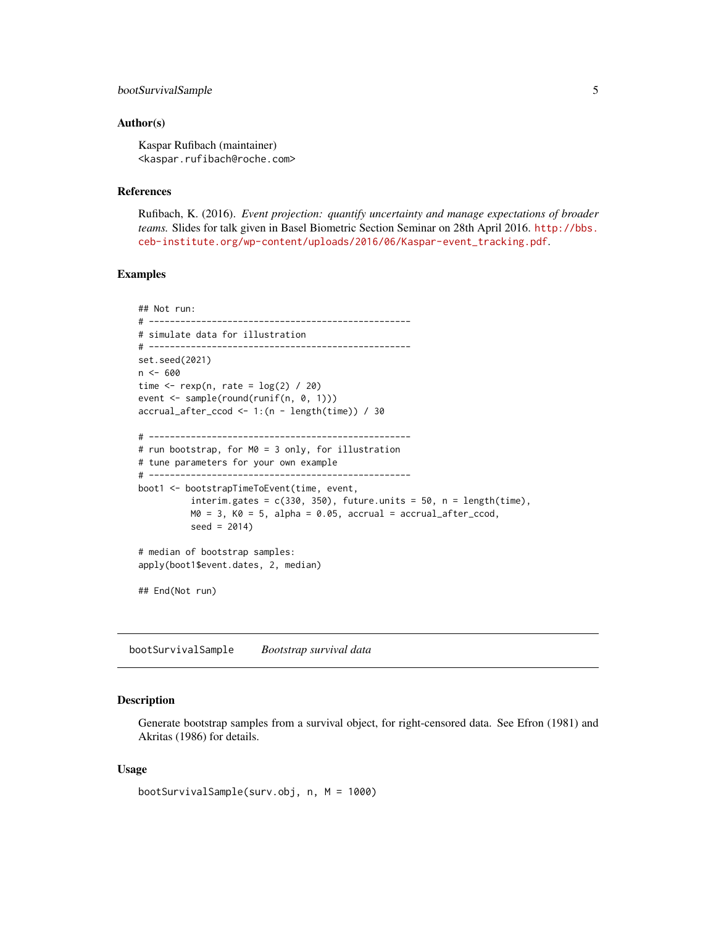# <span id="page-4-0"></span>bootSurvivalSample 5

#### Author(s)

Kaspar Rufibach (maintainer) <kaspar.rufibach@roche.com>

# References

Rufibach, K. (2016). *Event projection: quantify uncertainty and manage expectations of broader teams.* Slides for talk given in Basel Biometric Section Seminar on 28th April 2016. [http://bbs.](http://bbs.ceb-institute.org/wp-content/uploads/2016/06/Kaspar-event_tracking.pdf) [ceb-institute.org/wp-content/uploads/2016/06/Kaspar-event\\_tracking.pdf](http://bbs.ceb-institute.org/wp-content/uploads/2016/06/Kaspar-event_tracking.pdf).

#### Examples

```
## Not run:
# --------------------------------------------------
# simulate data for illustration
# --------------------------------------------------
set.seed(2021)
n < - 600time \leq rexp(n, rate = \log(2) / 20)
event <- sample(round(runif(n, 0, 1)))
accrual_after_ccod <- 1:(n - length(time)) / 30
# --------------------------------------------------
# run bootstrap, for M0 = 3 only, for illustration
# tune parameters for your own example
# --------------------------------------------------
boot1 <- bootstrapTimeToEvent(time, event,
          interim.gates = c(330, 350), future.units = 50, n = length(time),
          MO = 3, K0 = 5, alpha = 0.05, accrual = accrual_after_ccod,
          seed = 2014)
# median of bootstrap samples:
apply(boot1$event.dates, 2, median)
## End(Not run)
```
bootSurvivalSample *Bootstrap survival data*

# Description

Generate bootstrap samples from a survival object, for right-censored data. See Efron (1981) and Akritas (1986) for details.

#### Usage

```
bootSurvivalSample(surv.obj, n, M = 1000)
```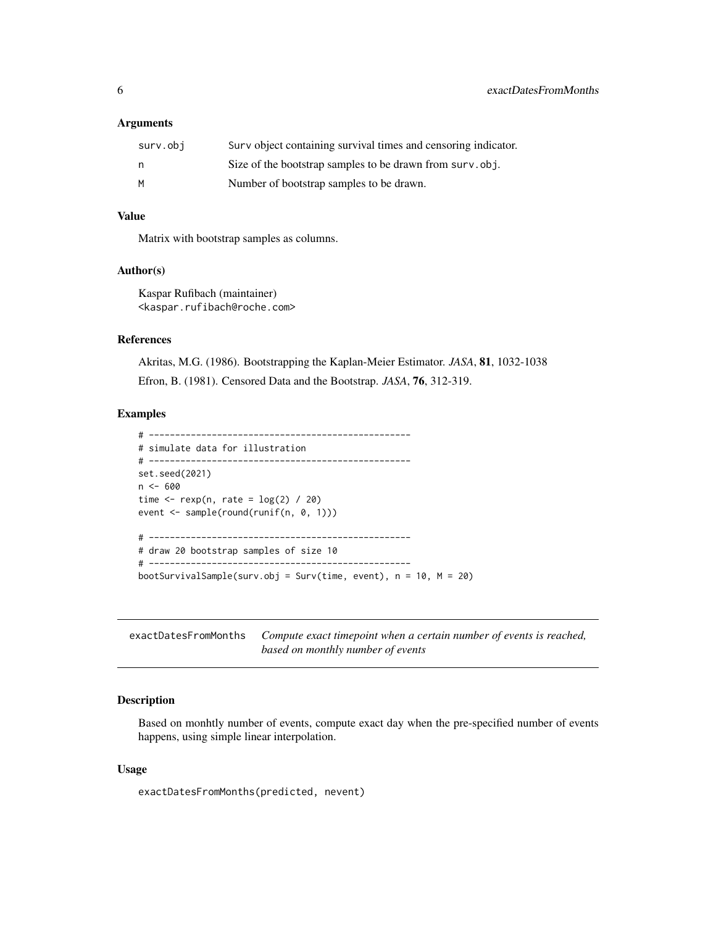#### <span id="page-5-0"></span>Arguments

| surv.obj | Surv object containing survival times and censoring indicator. |
|----------|----------------------------------------------------------------|
|          | Size of the bootstrap samples to be drawn from surv.obj.       |
| M        | Number of bootstrap samples to be drawn.                       |

# Value

Matrix with bootstrap samples as columns.

#### Author(s)

Kaspar Rufibach (maintainer) <kaspar.rufibach@roche.com>

# References

Akritas, M.G. (1986). Bootstrapping the Kaplan-Meier Estimator. *JASA*, 81, 1032-1038 Efron, B. (1981). Censored Data and the Bootstrap. *JASA*, 76, 312-319.

#### Examples

```
# --------------------------------------------------
# simulate data for illustration
# --------------------------------------------------
set.seed(2021)
n <- 600
time \leq rexp(n, rate = \log(2) / 20)
event <- sample(round(runif(n, 0, 1)))
# --------------------------------------------------
# draw 20 bootstrap samples of size 10
# --------------------------------------------------
bootSurvivalSample(surv.obj = Surv(time, event), n = 10, M = 20)
```
exactDatesFromMonths *Compute exact timepoint when a certain number of events is reached, based on monthly number of events*

# Description

Based on monhtly number of events, compute exact day when the pre-specified number of events happens, using simple linear interpolation.

#### Usage

exactDatesFromMonths(predicted, nevent)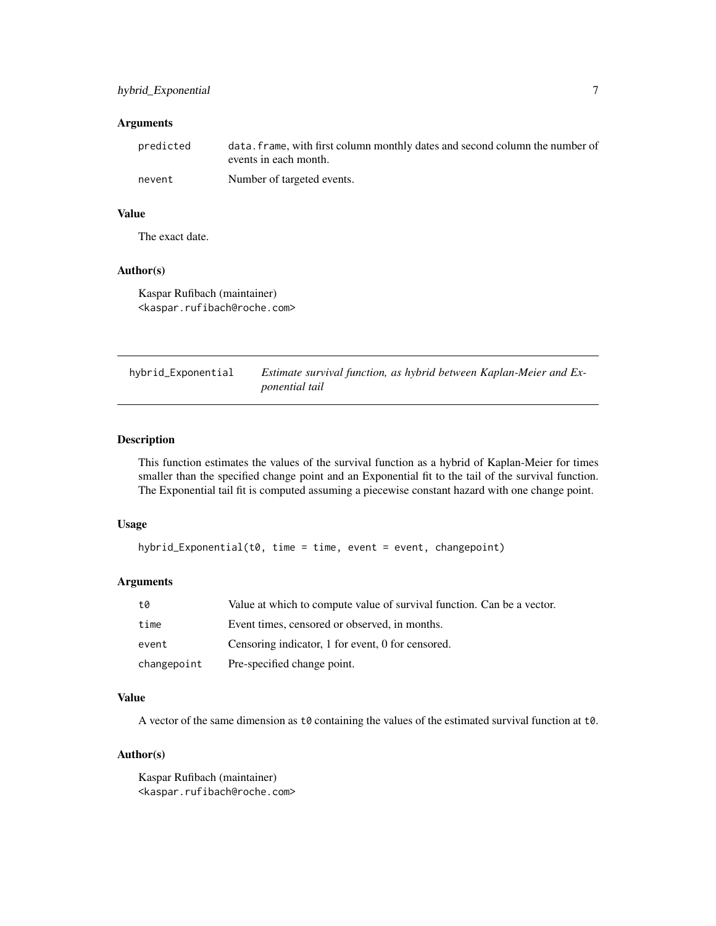# <span id="page-6-0"></span>hybrid\_Exponential 7

# Arguments

| predicted | data. frame, with first column monthly dates and second column the number of<br>events in each month. |
|-----------|-------------------------------------------------------------------------------------------------------|
| nevent    | Number of targeted events.                                                                            |

# Value

The exact date.

#### Author(s)

Kaspar Rufibach (maintainer) <kaspar.rufibach@roche.com>

<span id="page-6-1"></span>hybrid\_Exponential *Estimate survival function, as hybrid between Kaplan-Meier and Exponential tail*

#### Description

This function estimates the values of the survival function as a hybrid of Kaplan-Meier for times smaller than the specified change point and an Exponential fit to the tail of the survival function. The Exponential tail fit is computed assuming a piecewise constant hazard with one change point.

#### Usage

hybrid\_Exponential(t0, time = time, event = event, changepoint)

# Arguments

| t0          | Value at which to compute value of survival function. Can be a vector. |
|-------------|------------------------------------------------------------------------|
| time        | Event times, censored or observed, in months.                          |
| event       | Censoring indicator, 1 for event, 0 for censored.                      |
| changepoint | Pre-specified change point.                                            |

#### Value

A vector of the same dimension as t0 containing the values of the estimated survival function at t0.

#### Author(s)

Kaspar Rufibach (maintainer) <kaspar.rufibach@roche.com>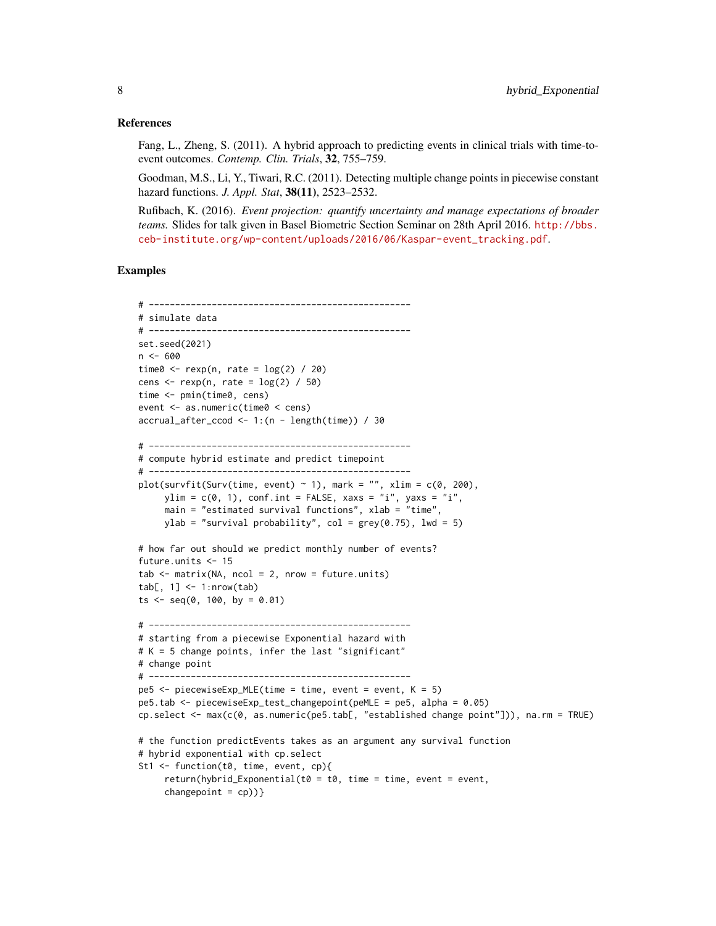#### References

Fang, L., Zheng, S. (2011). A hybrid approach to predicting events in clinical trials with time-toevent outcomes. *Contemp. Clin. Trials*, 32, 755–759.

Goodman, M.S., Li, Y., Tiwari, R.C. (2011). Detecting multiple change points in piecewise constant hazard functions. *J. Appl. Stat*, 38(11), 2523–2532.

Rufibach, K. (2016). *Event projection: quantify uncertainty and manage expectations of broader teams.* Slides for talk given in Basel Biometric Section Seminar on 28th April 2016. [http://bbs.](http://bbs.ceb-institute.org/wp-content/uploads/2016/06/Kaspar-event_tracking.pdf) [ceb-institute.org/wp-content/uploads/2016/06/Kaspar-event\\_tracking.pdf](http://bbs.ceb-institute.org/wp-content/uploads/2016/06/Kaspar-event_tracking.pdf).

#### Examples

```
# --------------------------------------------------
# simulate data
# --------------------------------------------------
set.seed(2021)
n < -600time0 \leq -\text{resp}(n, \text{ rate} = \log(2) / 20)cens \leq rexp(n, rate = \log(2) / 50)
time <- pmin(time0, cens)
event <- as.numeric(time0 < cens)
accrual_after_ccod <- 1:(n - length(time)) / 30
# --------------------------------------------------
# compute hybrid estimate and predict timepoint
# --------------------------------------------------
plot(survfit(Surv(time, event) \sim 1), mark = "", xlim = c(0, 200),
     ylim = c(0, 1), conf.int = FALSE, xaxs = "i", yaxs = "i",
     main = "estimated survival functions", xlab = "time",
     ylab = "survival probability", col = grey(0.75), lwd = 5)
# how far out should we predict monthly number of events?
future.units <- 15
tab < - matrix(NA, ncol = 2, nrow = future.units)
tab[, 1] < -1: nrow(tab)ts \leq seq(0, 100, by = 0.01)
# --------------------------------------------------
# starting from a piecewise Exponential hazard with
# K = 5 change points, infer the last "significant"
# change point
# --------------------------------------------------
pe5 <- piecewiseExp_MLE(time = time, event = event, K = 5)
pe5.tab <- piecewiseExp_test_changepoint(peMLE = pe5, alpha = 0.05)
cp.select <- max(c(0, as.numeric(pe5.tab[, "established change point"])), na.rm = TRUE)
# the function predictEvents takes as an argument any survival function
# hybrid exponential with cp.select
St1 <- function(t0, time, event, cp){
     return(hybrid_Exponential(t0 = t0, time = time, event = event,
     changepoint = cp))}
```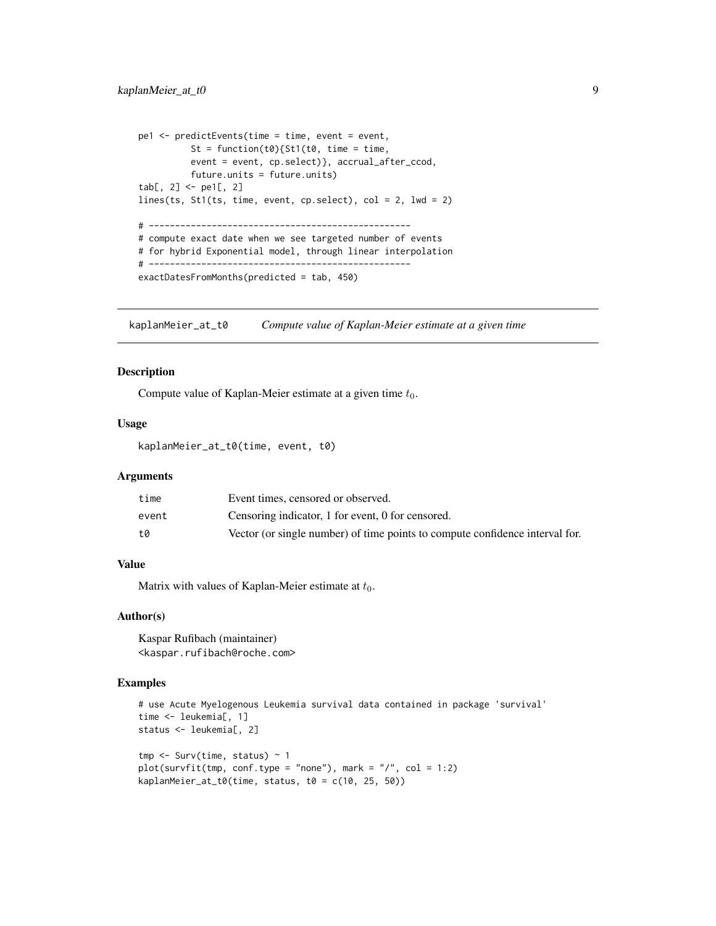```
pe1 <- predictEvents(time = time, event = event,
          St = function(t0){St1(t0, time = time,
          event = event, cp.select)}, accrual_after_ccod,
          future.units = future.units)
tab[, 2] <- pe1[, 2]
lines(ts, St1(ts, time, event, cp.select), col = 2, lwd = 2)
# --------------------------------------------------
# compute exact date when we see targeted number of events
# for hybrid Exponential model, through linear interpolation
# --------------------------------------------------
exactDatesFromMonths(predicted = tab, 450)
```
kaplanMeier\_at\_t0 *Compute value of Kaplan-Meier estimate at a given time*

#### Description

Compute value of Kaplan-Meier estimate at a given time  $t_0$ .

# Usage

kaplanMeier\_at\_t0(time, event, t0)

#### Arguments

| time  | Event times, censored or observed.                                           |
|-------|------------------------------------------------------------------------------|
| event | Censoring indicator, 1 for event, 0 for censored.                            |
| t0    | Vector (or single number) of time points to compute confidence interval for. |

# Value

Matrix with values of Kaplan-Meier estimate at  $t_0$ .

# Author(s)

Kaspar Rufibach (maintainer) <kaspar.rufibach@roche.com>

# Examples

```
# use Acute Myelogenous Leukemia survival data contained in package 'survival'
time <- leukemia[, 1]
status <- leukemia[, 2]
tmp \leftarrow Survey(time, status) \sim 1plot(survfit(tmp, conf.type = "none"), mark = "/", col = 1:2)kaplanMeier_at_t0(time, status, t0 = c(10, 25, 50))
```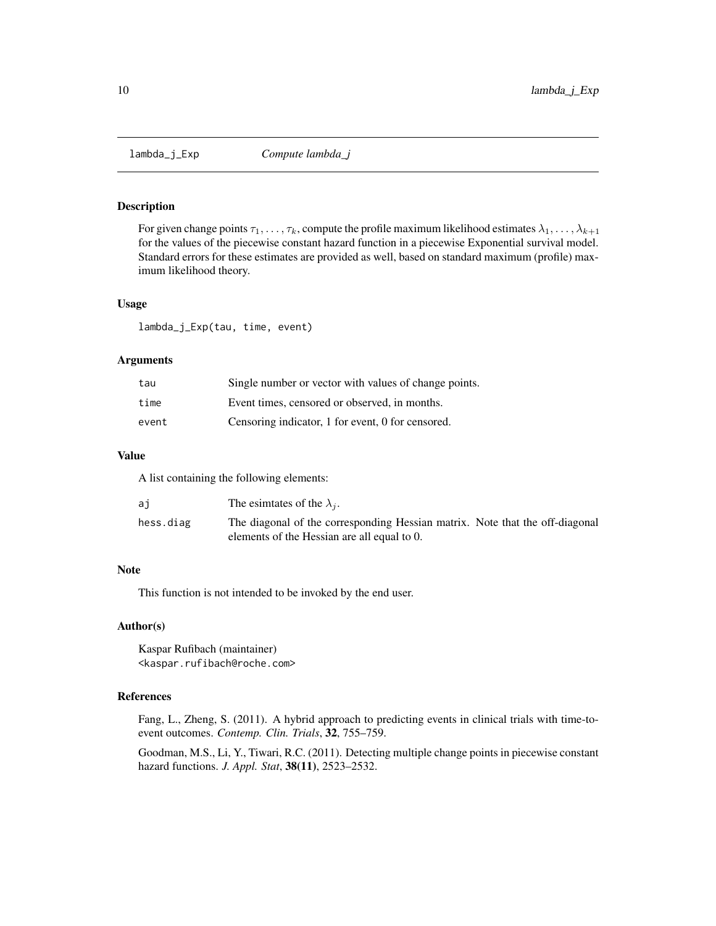<span id="page-9-1"></span><span id="page-9-0"></span>

# Description

For given change points  $\tau_1, \ldots, \tau_k$ , compute the profile maximum likelihood estimates  $\lambda_1, \ldots, \lambda_{k+1}$ for the values of the piecewise constant hazard function in a piecewise Exponential survival model. Standard errors for these estimates are provided as well, based on standard maximum (profile) maximum likelihood theory.

# Usage

lambda\_j\_Exp(tau, time, event)

#### Arguments

| tau   | Single number or vector with values of change points. |
|-------|-------------------------------------------------------|
| time  | Event times, censored or observed, in months.         |
| event | Censoring indicator, 1 for event, 0 for censored.     |

# Value

A list containing the following elements:

| ai        | The esimiates of the $\lambda_i$ .                                           |
|-----------|------------------------------------------------------------------------------|
| hess.diag | The diagonal of the corresponding Hessian matrix. Note that the off-diagonal |
|           | elements of the Hessian are all equal to 0.                                  |

#### Note

This function is not intended to be invoked by the end user.

#### Author(s)

Kaspar Rufibach (maintainer) <kaspar.rufibach@roche.com>

#### References

Fang, L., Zheng, S. (2011). A hybrid approach to predicting events in clinical trials with time-toevent outcomes. *Contemp. Clin. Trials*, 32, 755–759.

Goodman, M.S., Li, Y., Tiwari, R.C. (2011). Detecting multiple change points in piecewise constant hazard functions. *J. Appl. Stat*, 38(11), 2523–2532.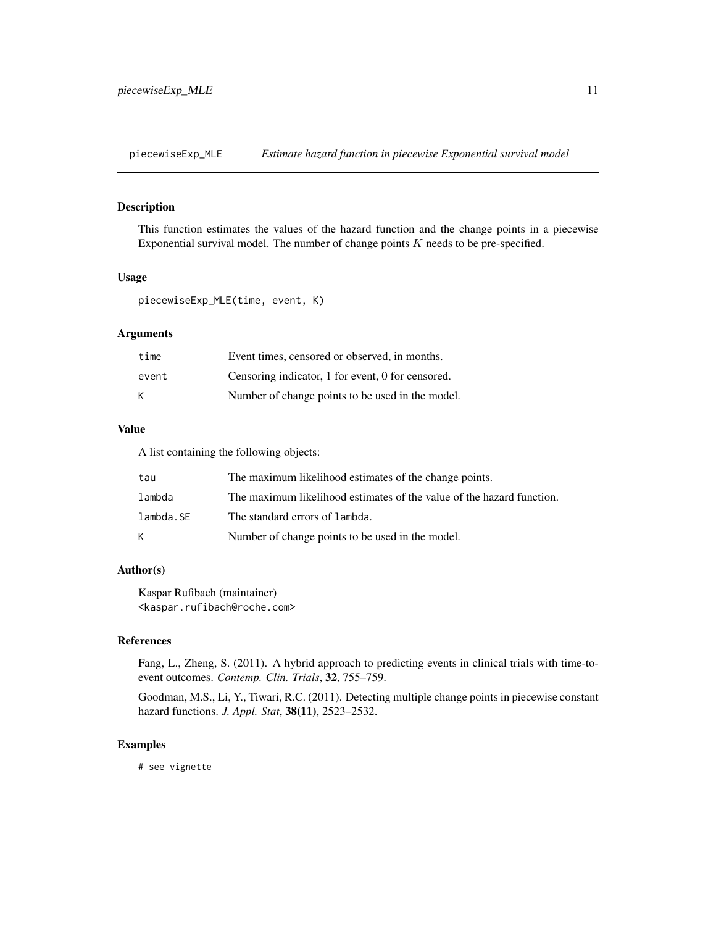<span id="page-10-1"></span><span id="page-10-0"></span>piecewiseExp\_MLE *Estimate hazard function in piecewise Exponential survival model*

# Description

This function estimates the values of the hazard function and the change points in a piecewise Exponential survival model. The number of change points  $K$  needs to be pre-specified.

#### Usage

```
piecewiseExp_MLE(time, event, K)
```
# Arguments

| time  | Event times, censored or observed, in months.     |
|-------|---------------------------------------------------|
| event | Censoring indicator, 1 for event, 0 for censored. |
| K     | Number of change points to be used in the model.  |

# Value

A list containing the following objects:

| tau       | The maximum likelihood estimates of the change points.                |
|-----------|-----------------------------------------------------------------------|
| lambda    | The maximum likelihood estimates of the value of the hazard function. |
| lambda.SE | The standard errors of lambda.                                        |
| K.        | Number of change points to be used in the model.                      |

# Author(s)

Kaspar Rufibach (maintainer) <kaspar.rufibach@roche.com>

# References

Fang, L., Zheng, S. (2011). A hybrid approach to predicting events in clinical trials with time-toevent outcomes. *Contemp. Clin. Trials*, 32, 755–759.

Goodman, M.S., Li, Y., Tiwari, R.C. (2011). Detecting multiple change points in piecewise constant hazard functions. *J. Appl. Stat*, 38(11), 2523–2532.

# Examples

# see vignette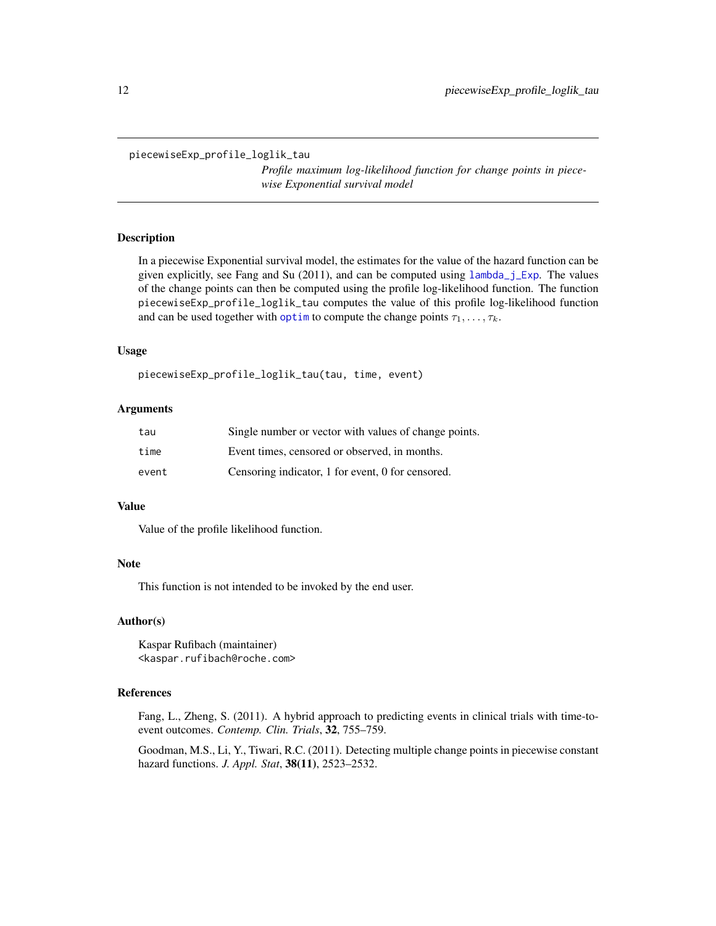<span id="page-11-0"></span>piecewiseExp\_profile\_loglik\_tau

*Profile maximum log-likelihood function for change points in piecewise Exponential survival model*

# Description

In a piecewise Exponential survival model, the estimates for the value of the hazard function can be given explicitly, see Fang and Su (2011), and can be computed using [lambda\\_j\\_Exp](#page-9-1). The values of the change points can then be computed using the profile log-likelihood function. The function piecewiseExp\_profile\_loglik\_tau computes the value of this profile log-likelihood function and can be used together with [optim](#page-0-0) to compute the change points  $\tau_1, \ldots, \tau_k$ .

#### Usage

piecewiseExp\_profile\_loglik\_tau(tau, time, event)

# **Arguments**

| tau   | Single number or vector with values of change points. |
|-------|-------------------------------------------------------|
| time  | Event times, censored or observed, in months.         |
| event | Censoring indicator, 1 for event, 0 for censored.     |

#### Value

Value of the profile likelihood function.

#### Note

This function is not intended to be invoked by the end user.

#### Author(s)

Kaspar Rufibach (maintainer) <kaspar.rufibach@roche.com>

# References

Fang, L., Zheng, S. (2011). A hybrid approach to predicting events in clinical trials with time-toevent outcomes. *Contemp. Clin. Trials*, 32, 755–759.

Goodman, M.S., Li, Y., Tiwari, R.C. (2011). Detecting multiple change points in piecewise constant hazard functions. *J. Appl. Stat*, 38(11), 2523–2532.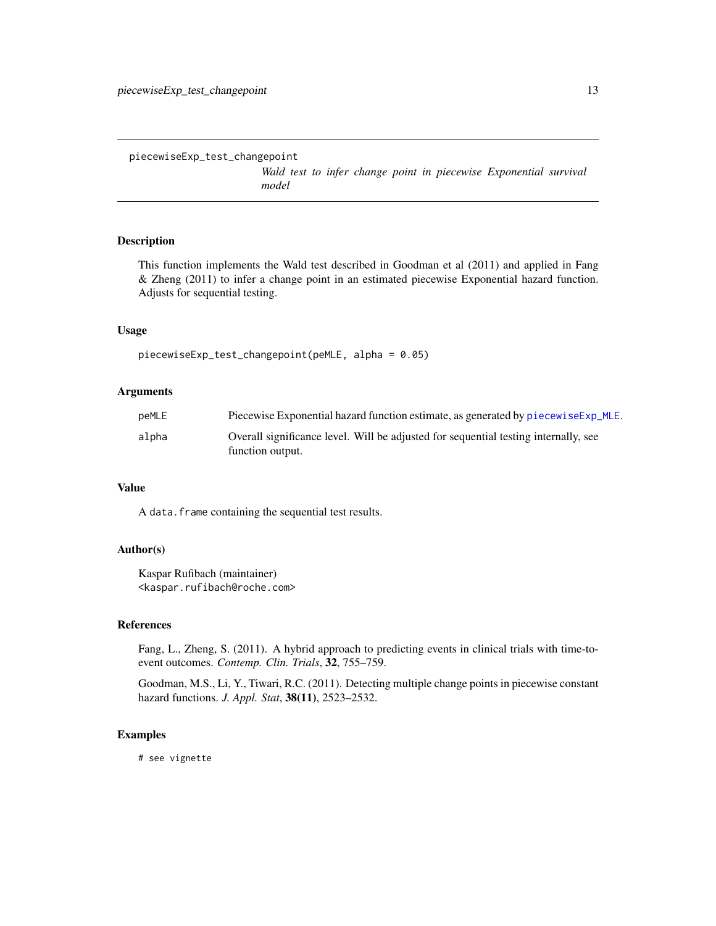<span id="page-12-1"></span><span id="page-12-0"></span>piecewiseExp\_test\_changepoint

*Wald test to infer change point in piecewise Exponential survival model*

# Description

This function implements the Wald test described in Goodman et al (2011) and applied in Fang & Zheng (2011) to infer a change point in an estimated piecewise Exponential hazard function. Adjusts for sequential testing.

#### Usage

```
piecewiseExp_test_changepoint(peMLE, alpha = 0.05)
```
# Arguments

| peMLE | Piecewise Exponential hazard function estimate, as generated by piecewiseExp_MLE.   |
|-------|-------------------------------------------------------------------------------------|
| alpha | Overall significance level. Will be adjusted for sequential testing internally, see |
|       | function output.                                                                    |

# Value

A data.frame containing the sequential test results.

# Author(s)

Kaspar Rufibach (maintainer) <kaspar.rufibach@roche.com>

# References

Fang, L., Zheng, S. (2011). A hybrid approach to predicting events in clinical trials with time-toevent outcomes. *Contemp. Clin. Trials*, 32, 755–759.

Goodman, M.S., Li, Y., Tiwari, R.C. (2011). Detecting multiple change points in piecewise constant hazard functions. *J. Appl. Stat*, 38(11), 2523–2532.

# Examples

# see vignette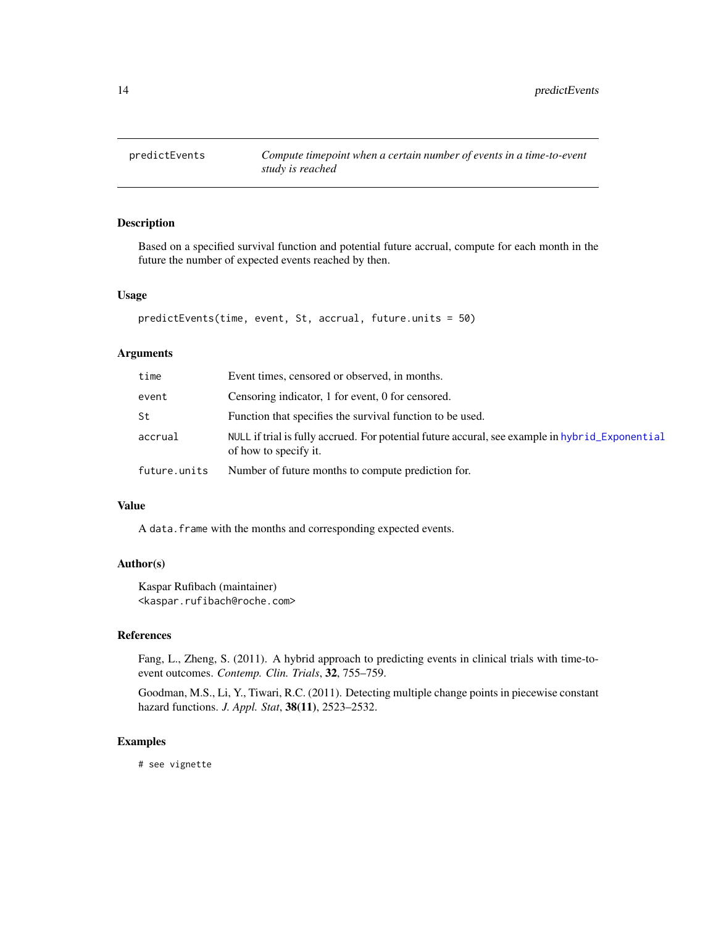<span id="page-13-0"></span>

# Description

Based on a specified survival function and potential future accrual, compute for each month in the future the number of expected events reached by then.

# Usage

```
predictEvents(time, event, St, accrual, future.units = 50)
```
# Arguments

| time         | Event times, censored or observed, in months.                                                                            |
|--------------|--------------------------------------------------------------------------------------------------------------------------|
| event        | Censoring indicator, 1 for event, 0 for censored.                                                                        |
| St           | Function that specifies the survival function to be used.                                                                |
| accrual      | NULL if trial is fully accrued. For potential future accural, see example in hybrid_Exponential<br>of how to specify it. |
| future.units | Number of future months to compute prediction for.                                                                       |

# Value

A data. frame with the months and corresponding expected events.

#### Author(s)

Kaspar Rufibach (maintainer) <kaspar.rufibach@roche.com>

# References

Fang, L., Zheng, S. (2011). A hybrid approach to predicting events in clinical trials with time-toevent outcomes. *Contemp. Clin. Trials*, 32, 755–759.

Goodman, M.S., Li, Y., Tiwari, R.C. (2011). Detecting multiple change points in piecewise constant hazard functions. *J. Appl. Stat*, 38(11), 2523–2532.

# Examples

# see vignette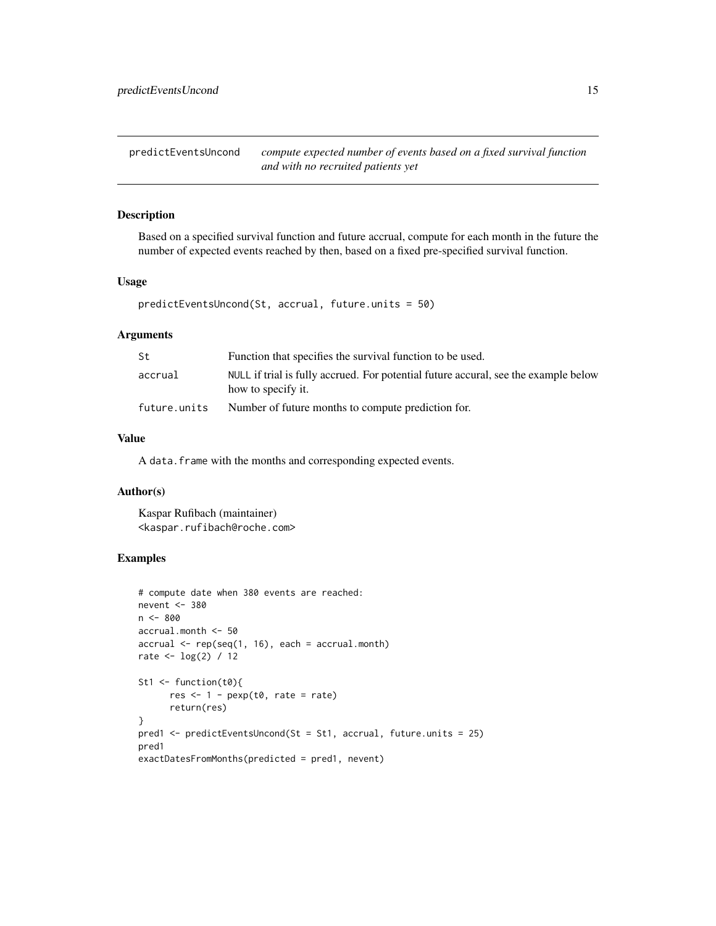<span id="page-14-0"></span>predictEventsUncond *compute expected number of events based on a fixed survival function and with no recruited patients yet*

#### Description

Based on a specified survival function and future accrual, compute for each month in the future the number of expected events reached by then, based on a fixed pre-specified survival function.

# Usage

```
predictEventsUncond(St, accrual, future.units = 50)
```
# Arguments

| St           | Function that specifies the survival function to be used.                                                 |
|--------------|-----------------------------------------------------------------------------------------------------------|
| accrual      | NULL if trial is fully accrued. For potential future accural, see the example below<br>how to specify it. |
| future.units | Number of future months to compute prediction for.                                                        |

# Value

A data.frame with the months and corresponding expected events.

# Author(s)

Kaspar Rufibach (maintainer) <kaspar.rufibach@roche.com>

# Examples

```
# compute date when 380 events are reached:
nevent <- 380
n <- 800
accrual.month <- 50
\text{accrual} \leq \text{rep}(\text{seq}(1, 16), \text{ each} = \text{accrual.month})rate <- log(2) / 12
St1 <- function(t0){
      res < -1 - pexp(t0, rate = rate)return(res)
}
pred1 <- predictEventsUncond(St = St1, accrual, future.units = 25)
pred1
exactDatesFromMonths(predicted = pred1, nevent)
```